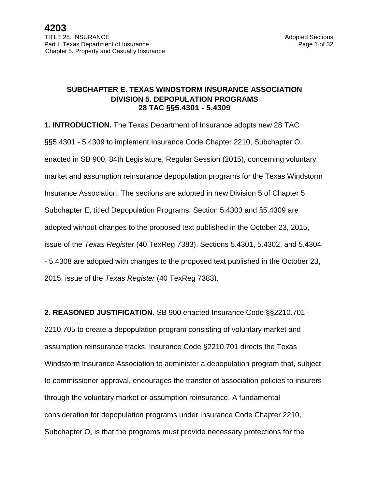### **SUBCHAPTER E. TEXAS WINDSTORM INSURANCE ASSOCIATION DIVISION 5. DEPOPULATION PROGRAMS 28 TAC §§5.4301 - 5.4309**

**1. INTRODUCTION.** The Texas Department of Insurance adopts new 28 TAC §§5.4301 - 5.4309 to implement Insurance Code Chapter 2210, Subchapter O, enacted in SB 900, 84th Legislature, Regular Session (2015), concerning voluntary market and assumption reinsurance depopulation programs for the Texas Windstorm Insurance Association. The sections are adopted in new Division 5 of Chapter 5, Subchapter E, titled Depopulation Programs. Section 5.4303 and §5.4309 are adopted without changes to the proposed text published in the October 23, 2015, issue of the *Texas Register* (40 TexReg 7383). Sections 5.4301, 5.4302, and 5.4304 - 5.4308 are adopted with changes to the proposed text published in the October 23, 2015, issue of the *Texas Register* (40 TexReg 7383).

**2. REASONED JUSTIFICATION.** SB 900 enacted Insurance Code §§2210.701 -

2210.705 to create a depopulation program consisting of voluntary market and assumption reinsurance tracks. Insurance Code §2210.701 directs the Texas Windstorm Insurance Association to administer a depopulation program that, subject to commissioner approval, encourages the transfer of association policies to insurers through the voluntary market or assumption reinsurance. A fundamental consideration for depopulation programs under Insurance Code Chapter 2210, Subchapter O, is that the programs must provide necessary protections for the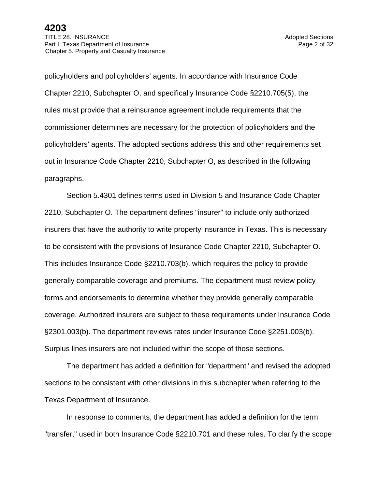policyholders and policyholders' agents. In accordance with Insurance Code Chapter 2210, Subchapter O, and specifically Insurance Code §2210.705(5), the rules must provide that a reinsurance agreement include requirements that the commissioner determines are necessary for the protection of policyholders and the policyholders' agents. The adopted sections address this and other requirements set out in Insurance Code Chapter 2210, Subchapter O, as described in the following paragraphs.

Section 5.4301 defines terms used in Division 5 and Insurance Code Chapter 2210, Subchapter O. The department defines "insurer" to include only authorized insurers that have the authority to write property insurance in Texas. This is necessary to be consistent with the provisions of Insurance Code Chapter 2210, Subchapter O. This includes Insurance Code §2210.703(b), which requires the policy to provide generally comparable coverage and premiums. The department must review policy forms and endorsements to determine whether they provide generally comparable coverage. Authorized insurers are subject to these requirements under Insurance Code §2301.003(b). The department reviews rates under Insurance Code §2251.003(b). Surplus lines insurers are not included within the scope of those sections.

The department has added a definition for "department" and revised the adopted sections to be consistent with other divisions in this subchapter when referring to the Texas Department of Insurance.

In response to comments, the department has added a definition for the term "transfer," used in both Insurance Code §2210.701 and these rules. To clarify the scope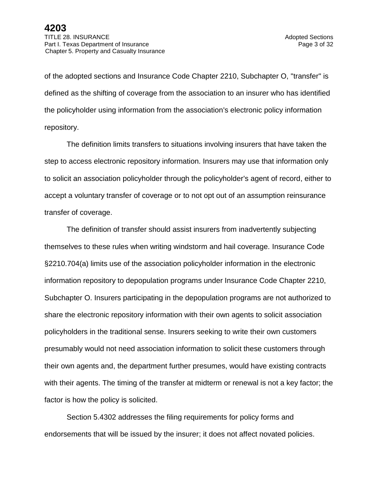of the adopted sections and Insurance Code Chapter 2210, Subchapter O, "transfer" is defined as the shifting of coverage from the association to an insurer who has identified the policyholder using information from the association's electronic policy information repository.

The definition limits transfers to situations involving insurers that have taken the step to access electronic repository information. Insurers may use that information only to solicit an association policyholder through the policyholder's agent of record, either to accept a voluntary transfer of coverage or to not opt out of an assumption reinsurance transfer of coverage.

The definition of transfer should assist insurers from inadvertently subjecting themselves to these rules when writing windstorm and hail coverage. Insurance Code §2210.704(a) limits use of the association policyholder information in the electronic information repository to depopulation programs under Insurance Code Chapter 2210, Subchapter O. Insurers participating in the depopulation programs are not authorized to share the electronic repository information with their own agents to solicit association policyholders in the traditional sense. Insurers seeking to write their own customers presumably would not need association information to solicit these customers through their own agents and, the department further presumes, would have existing contracts with their agents. The timing of the transfer at midterm or renewal is not a key factor; the factor is how the policy is solicited.

Section 5.4302 addresses the filing requirements for policy forms and endorsements that will be issued by the insurer; it does not affect novated policies.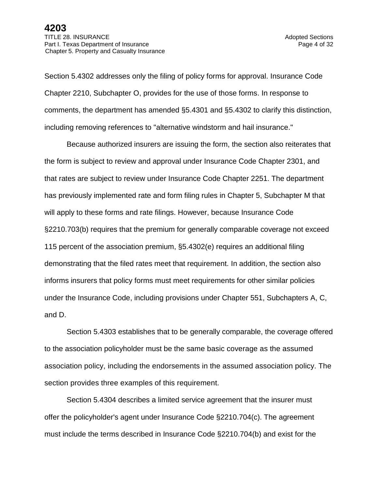Section 5.4302 addresses only the filing of policy forms for approval. Insurance Code Chapter 2210, Subchapter O, provides for the use of those forms. In response to comments, the department has amended §5.4301 and §5.4302 to clarify this distinction, including removing references to "alternative windstorm and hail insurance."

Because authorized insurers are issuing the form, the section also reiterates that the form is subject to review and approval under Insurance Code Chapter 2301, and that rates are subject to review under Insurance Code Chapter 2251. The department has previously implemented rate and form filing rules in Chapter 5, Subchapter M that will apply to these forms and rate filings. However, because Insurance Code §2210.703(b) requires that the premium for generally comparable coverage not exceed 115 percent of the association premium, §5.4302(e) requires an additional filing demonstrating that the filed rates meet that requirement. In addition, the section also informs insurers that policy forms must meet requirements for other similar policies under the Insurance Code, including provisions under Chapter 551, Subchapters A, C, and D.

Section 5.4303 establishes that to be generally comparable, the coverage offered to the association policyholder must be the same basic coverage as the assumed association policy, including the endorsements in the assumed association policy. The section provides three examples of this requirement.

Section 5.4304 describes a limited service agreement that the insurer must offer the policyholder's agent under Insurance Code §2210.704(c). The agreement must include the terms described in Insurance Code §2210.704(b) and exist for the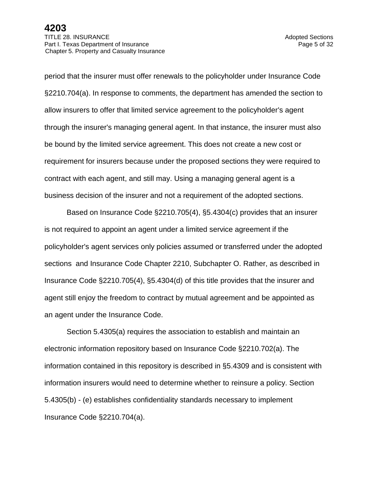period that the insurer must offer renewals to the policyholder under Insurance Code §2210.704(a). In response to comments, the department has amended the section to allow insurers to offer that limited service agreement to the policyholder's agent through the insurer's managing general agent. In that instance, the insurer must also be bound by the limited service agreement. This does not create a new cost or requirement for insurers because under the proposed sections they were required to contract with each agent, and still may. Using a managing general agent is a business decision of the insurer and not a requirement of the adopted sections.

Based on Insurance Code §2210.705(4), §5.4304(c) provides that an insurer is not required to appoint an agent under a limited service agreement if the policyholder's agent services only policies assumed or transferred under the adopted sections and Insurance Code Chapter 2210, Subchapter O. Rather, as described in Insurance Code §2210.705(4), §5.4304(d) of this title provides that the insurer and agent still enjoy the freedom to contract by mutual agreement and be appointed as an agent under the Insurance Code.

Section 5.4305(a) requires the association to establish and maintain an electronic information repository based on Insurance Code §2210.702(a). The information contained in this repository is described in §5.4309 and is consistent with information insurers would need to determine whether to reinsure a policy. Section 5.4305(b) - (e) establishes confidentiality standards necessary to implement Insurance Code §2210.704(a).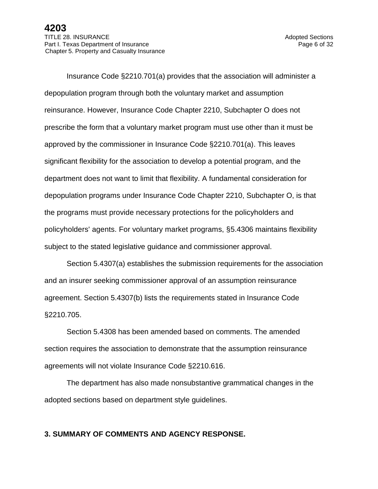Insurance Code §2210.701(a) provides that the association will administer a depopulation program through both the voluntary market and assumption reinsurance. However, Insurance Code Chapter 2210, Subchapter O does not prescribe the form that a voluntary market program must use other than it must be approved by the commissioner in Insurance Code §2210.701(a). This leaves significant flexibility for the association to develop a potential program, and the department does not want to limit that flexibility. A fundamental consideration for depopulation programs under Insurance Code Chapter 2210, Subchapter O, is that the programs must provide necessary protections for the policyholders and policyholders' agents. For voluntary market programs, §5.4306 maintains flexibility subject to the stated legislative guidance and commissioner approval.

Section 5.4307(a) establishes the submission requirements for the association and an insurer seeking commissioner approval of an assumption reinsurance agreement. Section 5.4307(b) lists the requirements stated in Insurance Code §2210.705.

Section 5.4308 has been amended based on comments. The amended section requires the association to demonstrate that the assumption reinsurance agreements will not violate Insurance Code §2210.616.

The department has also made nonsubstantive grammatical changes in the adopted sections based on department style guidelines.

#### **3. SUMMARY OF COMMENTS AND AGENCY RESPONSE.**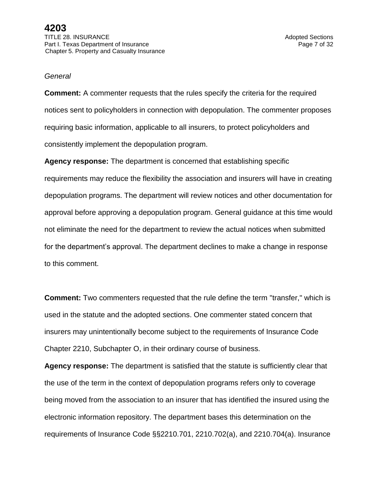#### *General*

**Comment:** A commenter requests that the rules specify the criteria for the required notices sent to policyholders in connection with depopulation. The commenter proposes requiring basic information, applicable to all insurers, to protect policyholders and consistently implement the depopulation program.

**Agency response:** The department is concerned that establishing specific requirements may reduce the flexibility the association and insurers will have in creating depopulation programs. The department will review notices and other documentation for approval before approving a depopulation program. General guidance at this time would not eliminate the need for the department to review the actual notices when submitted for the department's approval. The department declines to make a change in response to this comment.

**Comment:** Two commenters requested that the rule define the term "transfer," which is used in the statute and the adopted sections. One commenter stated concern that insurers may unintentionally become subject to the requirements of Insurance Code Chapter 2210, Subchapter O, in their ordinary course of business.

**Agency response:** The department is satisfied that the statute is sufficiently clear that the use of the term in the context of depopulation programs refers only to coverage being moved from the association to an insurer that has identified the insured using the electronic information repository. The department bases this determination on the requirements of Insurance Code §§2210.701, 2210.702(a), and 2210.704(a). Insurance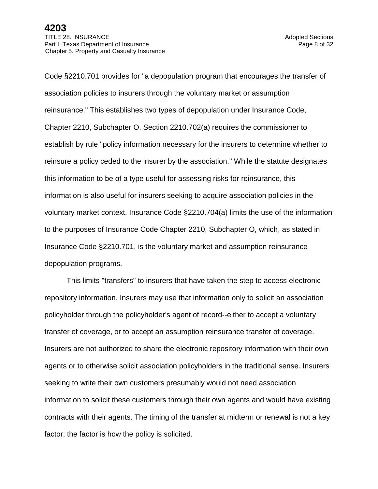Code §2210.701 provides for "a depopulation program that encourages the transfer of association policies to insurers through the voluntary market or assumption reinsurance." This establishes two types of depopulation under Insurance Code, Chapter 2210, Subchapter O. Section 2210.702(a) requires the commissioner to establish by rule "policy information necessary for the insurers to determine whether to reinsure a policy ceded to the insurer by the association." While the statute designates this information to be of a type useful for assessing risks for reinsurance, this information is also useful for insurers seeking to acquire association policies in the voluntary market context. Insurance Code §2210.704(a) limits the use of the information to the purposes of Insurance Code Chapter 2210, Subchapter O, which, as stated in Insurance Code §2210.701, is the voluntary market and assumption reinsurance depopulation programs.

This limits "transfers" to insurers that have taken the step to access electronic repository information. Insurers may use that information only to solicit an association policyholder through the policyholder's agent of record--either to accept a voluntary transfer of coverage, or to accept an assumption reinsurance transfer of coverage. Insurers are not authorized to share the electronic repository information with their own agents or to otherwise solicit association policyholders in the traditional sense. Insurers seeking to write their own customers presumably would not need association information to solicit these customers through their own agents and would have existing contracts with their agents. The timing of the transfer at midterm or renewal is not a key factor; the factor is how the policy is solicited.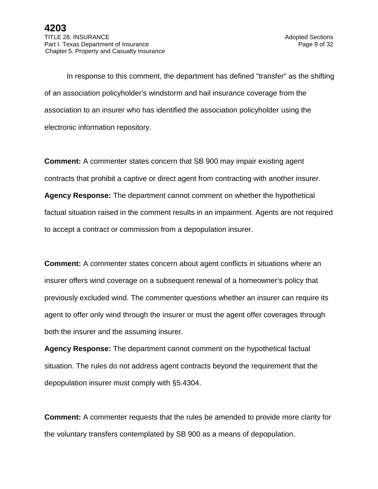In response to this comment, the department has defined "transfer" as the shifting of an association policyholder's windstorm and hail insurance coverage from the association to an insurer who has identified the association policyholder using the electronic information repository.

**Comment:** A commenter states concern that SB 900 may impair existing agent contracts that prohibit a captive or direct agent from contracting with another insurer. **Agency Response:** The department cannot comment on whether the hypothetical factual situation raised in the comment results in an impairment. Agents are not required to accept a contract or commission from a depopulation insurer.

**Comment:** A commenter states concern about agent conflicts in situations where an insurer offers wind coverage on a subsequent renewal of a homeowner's policy that previously excluded wind. The commenter questions whether an insurer can require its agent to offer only wind through the insurer or must the agent offer coverages through both the insurer and the assuming insurer.

**Agency Response:** The department cannot comment on the hypothetical factual situation. The rules do not address agent contracts beyond the requirement that the depopulation insurer must comply with §5.4304.

**Comment:** A commenter requests that the rules be amended to provide more clarity for the voluntary transfers contemplated by SB 900 as a means of depopulation.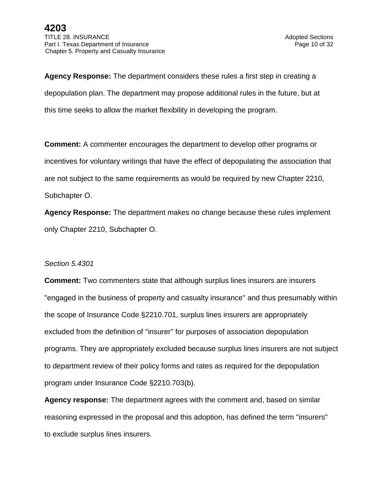**Agency Response:** The department considers these rules a first step in creating a depopulation plan. The department may propose additional rules in the future, but at this time seeks to allow the market flexibility in developing the program.

**Comment:** A commenter encourages the department to develop other programs or incentives for voluntary writings that have the effect of depopulating the association that are not subject to the same requirements as would be required by new Chapter 2210, Subchapter O.

**Agency Response:** The department makes no change because these rules implement only Chapter 2210, Subchapter O.

#### *Section 5.4301*

**Comment:** Two commenters state that although surplus lines insurers are insurers "engaged in the business of property and casualty insurance" and thus presumably within the scope of Insurance Code §2210.701, surplus lines insurers are appropriately excluded from the definition of "insurer" for purposes of association depopulation programs. They are appropriately excluded because surplus lines insurers are not subject to department review of their policy forms and rates as required for the depopulation program under Insurance Code §2210.703(b).

**Agency response:** The department agrees with the comment and, based on similar reasoning expressed in the proposal and this adoption, has defined the term "insurers" to exclude surplus lines insurers.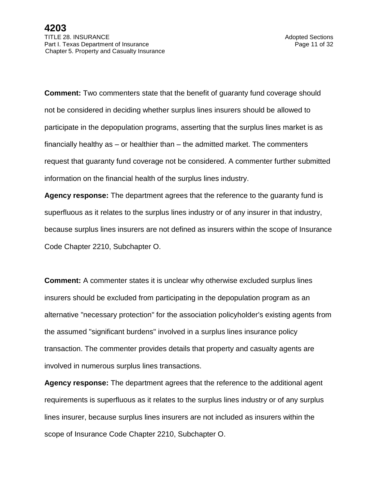**Comment:** Two commenters state that the benefit of guaranty fund coverage should not be considered in deciding whether surplus lines insurers should be allowed to participate in the depopulation programs, asserting that the surplus lines market is as financially healthy as – or healthier than – the admitted market. The commenters request that guaranty fund coverage not be considered. A commenter further submitted information on the financial health of the surplus lines industry.

**Agency response:** The department agrees that the reference to the guaranty fund is superfluous as it relates to the surplus lines industry or of any insurer in that industry, because surplus lines insurers are not defined as insurers within the scope of Insurance Code Chapter 2210, Subchapter O.

**Comment:** A commenter states it is unclear why otherwise excluded surplus lines insurers should be excluded from participating in the depopulation program as an alternative "necessary protection" for the association policyholder's existing agents from the assumed "significant burdens" involved in a surplus lines insurance policy transaction. The commenter provides details that property and casualty agents are involved in numerous surplus lines transactions.

**Agency response:** The department agrees that the reference to the additional agent requirements is superfluous as it relates to the surplus lines industry or of any surplus lines insurer, because surplus lines insurers are not included as insurers within the scope of Insurance Code Chapter 2210, Subchapter O.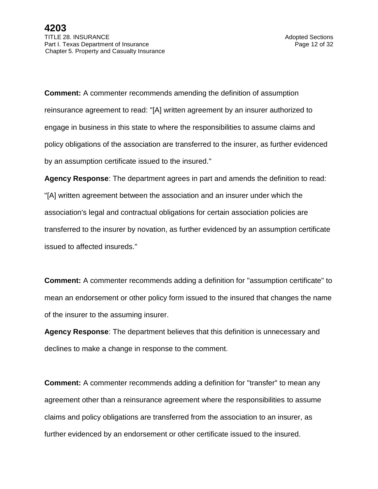**Comment:** A commenter recommends amending the definition of assumption reinsurance agreement to read: "[A] written agreement by an insurer authorized to engage in business in this state to where the responsibilities to assume claims and policy obligations of the association are transferred to the insurer, as further evidenced by an assumption certificate issued to the insured."

**Agency Response**: The department agrees in part and amends the definition to read: "[A] written agreement between the association and an insurer under which the association's legal and contractual obligations for certain association policies are transferred to the insurer by novation, as further evidenced by an assumption certificate issued to affected insureds."

**Comment:** A commenter recommends adding a definition for "assumption certificate" to mean an endorsement or other policy form issued to the insured that changes the name of the insurer to the assuming insurer.

**Agency Response**: The department believes that this definition is unnecessary and declines to make a change in response to the comment.

**Comment:** A commenter recommends adding a definition for "transfer" to mean any agreement other than a reinsurance agreement where the responsibilities to assume claims and policy obligations are transferred from the association to an insurer, as further evidenced by an endorsement or other certificate issued to the insured.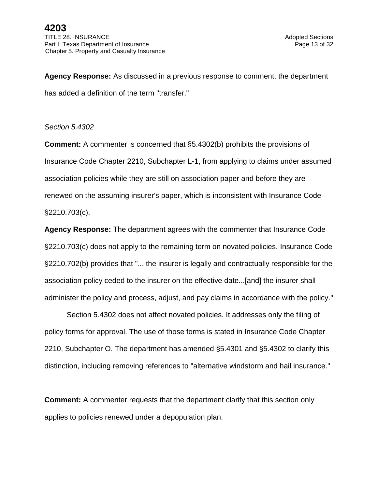**Agency Response:** As discussed in a previous response to comment, the department has added a definition of the term "transfer."

### *Section 5.4302*

**Comment:** A commenter is concerned that §5.4302(b) prohibits the provisions of Insurance Code Chapter 2210, Subchapter L-1, from applying to claims under assumed association policies while they are still on association paper and before they are renewed on the assuming insurer's paper, which is inconsistent with Insurance Code §2210.703(c).

**Agency Response:** The department agrees with the commenter that Insurance Code §2210.703(c) does not apply to the remaining term on novated policies. Insurance Code §2210.702(b) provides that "... the insurer is legally and contractually responsible for the association policy ceded to the insurer on the effective date...[and] the insurer shall administer the policy and process, adjust, and pay claims in accordance with the policy."

Section 5.4302 does not affect novated policies. It addresses only the filing of policy forms for approval. The use of those forms is stated in Insurance Code Chapter 2210, Subchapter O. The department has amended §5.4301 and §5.4302 to clarify this distinction, including removing references to "alternative windstorm and hail insurance."

**Comment:** A commenter requests that the department clarify that this section only applies to policies renewed under a depopulation plan.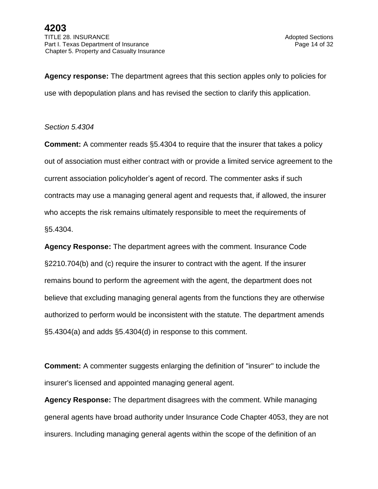**Agency response:** The department agrees that this section apples only to policies for use with depopulation plans and has revised the section to clarify this application.

### *Section 5.4304*

**Comment:** A commenter reads §5.4304 to require that the insurer that takes a policy out of association must either contract with or provide a limited service agreement to the current association policyholder's agent of record. The commenter asks if such contracts may use a managing general agent and requests that, if allowed, the insurer who accepts the risk remains ultimately responsible to meet the requirements of §5.4304.

**Agency Response:** The department agrees with the comment. Insurance Code §2210.704(b) and (c) require the insurer to contract with the agent. If the insurer remains bound to perform the agreement with the agent, the department does not believe that excluding managing general agents from the functions they are otherwise authorized to perform would be inconsistent with the statute. The department amends §5.4304(a) and adds §5.4304(d) in response to this comment.

**Comment:** A commenter suggests enlarging the definition of "insurer" to include the insurer's licensed and appointed managing general agent.

**Agency Response:** The department disagrees with the comment. While managing general agents have broad authority under Insurance Code Chapter 4053, they are not insurers. Including managing general agents within the scope of the definition of an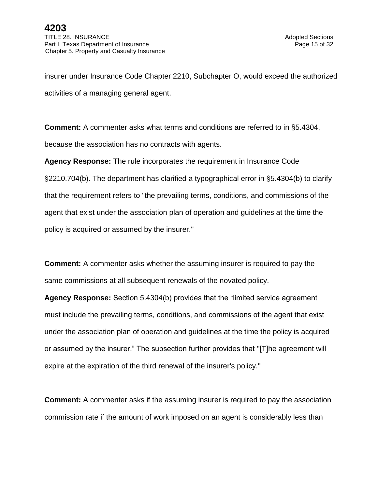insurer under Insurance Code Chapter 2210, Subchapter O, would exceed the authorized activities of a managing general agent.

**Comment:** A commenter asks what terms and conditions are referred to in §5.4304, because the association has no contracts with agents.

**Agency Response:** The rule incorporates the requirement in Insurance Code §2210.704(b). The department has clarified a typographical error in §5.4304(b) to clarify that the requirement refers to "the prevailing terms, conditions, and commissions of the agent that exist under the association plan of operation and guidelines at the time the policy is acquired or assumed by the insurer."

**Comment:** A commenter asks whether the assuming insurer is required to pay the same commissions at all subsequent renewals of the novated policy.

**Agency Response:** Section 5.4304(b) provides that the "limited service agreement must include the prevailing terms, conditions, and commissions of the agent that exist under the association plan of operation and guidelines at the time the policy is acquired or assumed by the insurer." The subsection further provides that "[T]he agreement will expire at the expiration of the third renewal of the insurer's policy."

**Comment:** A commenter asks if the assuming insurer is required to pay the association commission rate if the amount of work imposed on an agent is considerably less than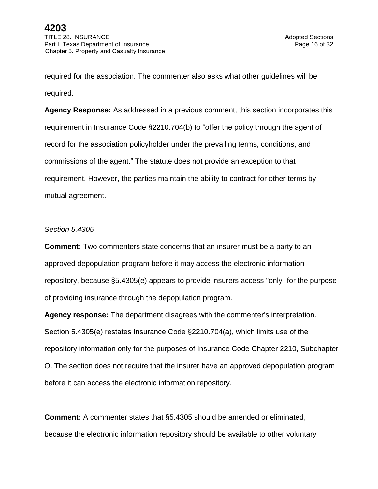required for the association. The commenter also asks what other guidelines will be required.

**Agency Response:** As addressed in a previous comment, this section incorporates this requirement in Insurance Code §2210.704(b) to "offer the policy through the agent of record for the association policyholder under the prevailing terms, conditions, and commissions of the agent." The statute does not provide an exception to that requirement. However, the parties maintain the ability to contract for other terms by mutual agreement.

#### *Section 5.4305*

**Comment:** Two commenters state concerns that an insurer must be a party to an approved depopulation program before it may access the electronic information repository, because §5.4305(e) appears to provide insurers access "only" for the purpose of providing insurance through the depopulation program.

**Agency response:** The department disagrees with the commenter's interpretation. Section 5.4305(e) restates Insurance Code §2210.704(a), which limits use of the repository information only for the purposes of Insurance Code Chapter 2210, Subchapter O. The section does not require that the insurer have an approved depopulation program before it can access the electronic information repository.

**Comment:** A commenter states that §5.4305 should be amended or eliminated, because the electronic information repository should be available to other voluntary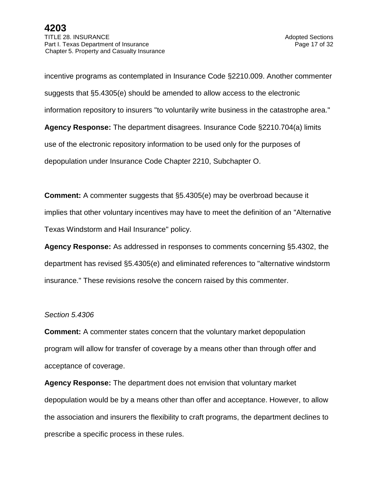incentive programs as contemplated in Insurance Code §2210.009. Another commenter suggests that §5.4305(e) should be amended to allow access to the electronic information repository to insurers "to voluntarily write business in the catastrophe area." **Agency Response:** The department disagrees. Insurance Code §2210.704(a) limits use of the electronic repository information to be used only for the purposes of depopulation under Insurance Code Chapter 2210, Subchapter O.

**Comment:** A commenter suggests that §5.4305(e) may be overbroad because it implies that other voluntary incentives may have to meet the definition of an "Alternative Texas Windstorm and Hail Insurance" policy.

**Agency Response:** As addressed in responses to comments concerning §5.4302, the department has revised §5.4305(e) and eliminated references to "alternative windstorm insurance." These revisions resolve the concern raised by this commenter.

#### *Section 5.4306*

**Comment:** A commenter states concern that the voluntary market depopulation program will allow for transfer of coverage by a means other than through offer and acceptance of coverage.

**Agency Response:** The department does not envision that voluntary market depopulation would be by a means other than offer and acceptance. However, to allow the association and insurers the flexibility to craft programs, the department declines to prescribe a specific process in these rules.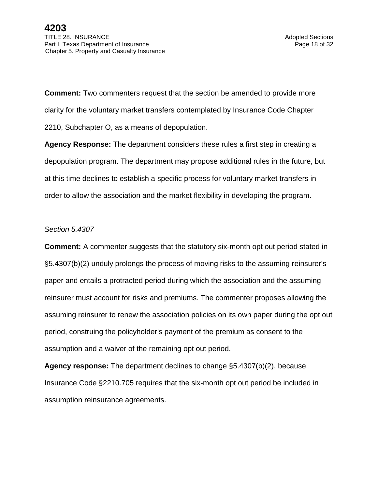**Comment:** Two commenters request that the section be amended to provide more clarity for the voluntary market transfers contemplated by Insurance Code Chapter 2210, Subchapter O, as a means of depopulation.

**Agency Response:** The department considers these rules a first step in creating a depopulation program. The department may propose additional rules in the future, but at this time declines to establish a specific process for voluntary market transfers in order to allow the association and the market flexibility in developing the program.

### *Section 5.4307*

**Comment:** A commenter suggests that the statutory six-month opt out period stated in §5.4307(b)(2) unduly prolongs the process of moving risks to the assuming reinsurer's paper and entails a protracted period during which the association and the assuming reinsurer must account for risks and premiums. The commenter proposes allowing the assuming reinsurer to renew the association policies on its own paper during the opt out period, construing the policyholder's payment of the premium as consent to the assumption and a waiver of the remaining opt out period.

**Agency response:** The department declines to change §5.4307(b)(2), because Insurance Code §2210.705 requires that the six-month opt out period be included in assumption reinsurance agreements.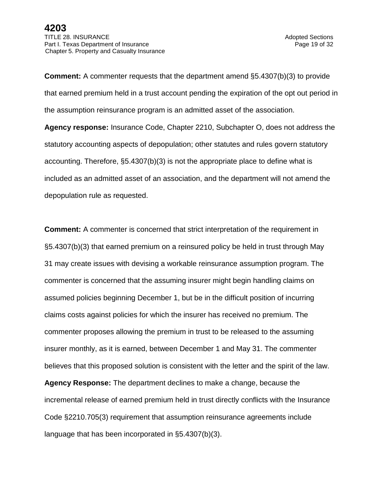**Comment:** A commenter requests that the department amend §5.4307(b)(3) to provide that earned premium held in a trust account pending the expiration of the opt out period in the assumption reinsurance program is an admitted asset of the association.

**Agency response:** Insurance Code, Chapter 2210, Subchapter O, does not address the statutory accounting aspects of depopulation; other statutes and rules govern statutory accounting. Therefore, §5.4307(b)(3) is not the appropriate place to define what is included as an admitted asset of an association, and the department will not amend the depopulation rule as requested.

**Comment:** A commenter is concerned that strict interpretation of the requirement in §5.4307(b)(3) that earned premium on a reinsured policy be held in trust through May 31 may create issues with devising a workable reinsurance assumption program. The commenter is concerned that the assuming insurer might begin handling claims on assumed policies beginning December 1, but be in the difficult position of incurring claims costs against policies for which the insurer has received no premium. The commenter proposes allowing the premium in trust to be released to the assuming insurer monthly, as it is earned, between December 1 and May 31. The commenter believes that this proposed solution is consistent with the letter and the spirit of the law. **Agency Response:** The department declines to make a change, because the incremental release of earned premium held in trust directly conflicts with the Insurance Code §2210.705(3) requirement that assumption reinsurance agreements include language that has been incorporated in §5.4307(b)(3).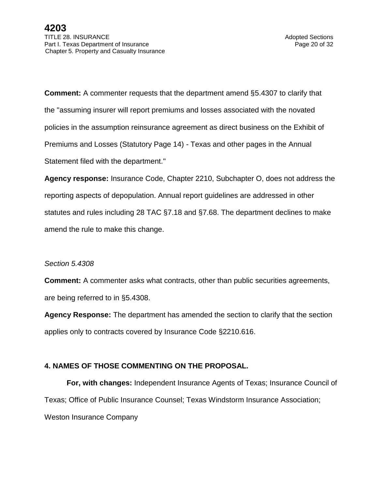**Comment:** A commenter requests that the department amend §5.4307 to clarify that the "assuming insurer will report premiums and losses associated with the novated policies in the assumption reinsurance agreement as direct business on the Exhibit of Premiums and Losses (Statutory Page 14) - Texas and other pages in the Annual Statement filed with the department."

**Agency response:** Insurance Code, Chapter 2210, Subchapter O, does not address the reporting aspects of depopulation. Annual report guidelines are addressed in other statutes and rules including 28 TAC §7.18 and §7.68. The department declines to make amend the rule to make this change.

### *Section 5.4308*

**Comment:** A commenter asks what contracts, other than public securities agreements, are being referred to in §5.4308.

**Agency Response:** The department has amended the section to clarify that the section applies only to contracts covered by Insurance Code §2210.616.

# **4. NAMES OF THOSE COMMENTING ON THE PROPOSAL.**

**For, with changes:** Independent Insurance Agents of Texas; Insurance Council of Texas; Office of Public Insurance Counsel; Texas Windstorm Insurance Association; Weston Insurance Company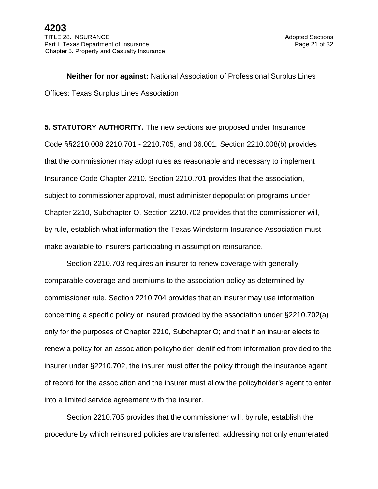**Neither for nor against:** National Association of Professional Surplus Lines Offices; Texas Surplus Lines Association

**5. STATUTORY AUTHORITY.** The new sections are proposed under Insurance Code §§2210.008 2210.701 - 2210.705, and 36.001. Section 2210.008(b) provides that the commissioner may adopt rules as reasonable and necessary to implement Insurance Code Chapter 2210. Section 2210.701 provides that the association, subject to commissioner approval, must administer depopulation programs under Chapter 2210, Subchapter O. Section 2210.702 provides that the commissioner will, by rule, establish what information the Texas Windstorm Insurance Association must make available to insurers participating in assumption reinsurance.

Section 2210.703 requires an insurer to renew coverage with generally comparable coverage and premiums to the association policy as determined by commissioner rule. Section 2210.704 provides that an insurer may use information concerning a specific policy or insured provided by the association under §2210.702(a) only for the purposes of Chapter 2210, Subchapter O; and that if an insurer elects to renew a policy for an association policyholder identified from information provided to the insurer under §2210.702, the insurer must offer the policy through the insurance agent of record for the association and the insurer must allow the policyholder's agent to enter into a limited service agreement with the insurer.

Section 2210.705 provides that the commissioner will, by rule, establish the procedure by which reinsured policies are transferred, addressing not only enumerated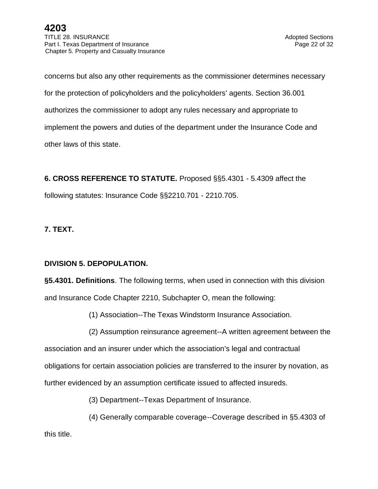concerns but also any other requirements as the commissioner determines necessary for the protection of policyholders and the policyholders' agents. Section 36.001 authorizes the commissioner to adopt any rules necessary and appropriate to implement the powers and duties of the department under the Insurance Code and other laws of this state.

**6. CROSS REFERENCE TO STATUTE.** Proposed §§5.4301 - 5.4309 affect the following statutes: Insurance Code §§2210.701 - 2210.705.

# **7. TEXT.**

### **DIVISION 5. DEPOPULATION.**

**§5.4301. Definitions**. The following terms, when used in connection with this division and Insurance Code Chapter 2210, Subchapter O, mean the following:

(1) Association--The Texas Windstorm Insurance Association.

(2) Assumption reinsurance agreement--A written agreement between the association and an insurer under which the association's legal and contractual obligations for certain association policies are transferred to the insurer by novation, as further evidenced by an assumption certificate issued to affected insureds.

(3) Department--Texas Department of Insurance.

(4) Generally comparable coverage--Coverage described in §5.4303 of

this title.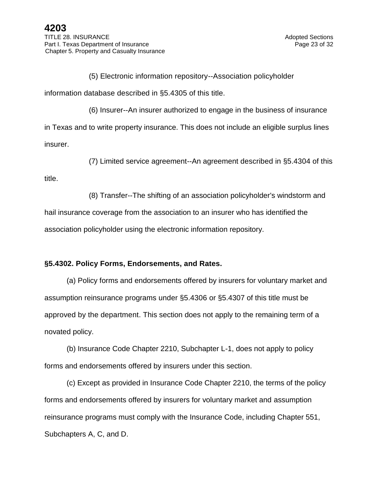(5) Electronic information repository--Association policyholder information database described in §5.4305 of this title. (6) Insurer--An insurer authorized to engage in the business of insurance

in Texas and to write property insurance. This does not include an eligible surplus lines insurer.

(7) Limited service agreement--An agreement described in §5.4304 of this

title.

(8) Transfer--The shifting of an association policyholder's windstorm and

hail insurance coverage from the association to an insurer who has identified the association policyholder using the electronic information repository.

### **§5.4302. Policy Forms, Endorsements, and Rates.**

(a) Policy forms and endorsements offered by insurers for voluntary market and assumption reinsurance programs under §5.4306 or §5.4307 of this title must be approved by the department. This section does not apply to the remaining term of a novated policy.

(b) Insurance Code Chapter 2210, Subchapter L-1, does not apply to policy forms and endorsements offered by insurers under this section.

(c) Except as provided in Insurance Code Chapter 2210, the terms of the policy forms and endorsements offered by insurers for voluntary market and assumption reinsurance programs must comply with the Insurance Code, including Chapter 551, Subchapters A, C, and D.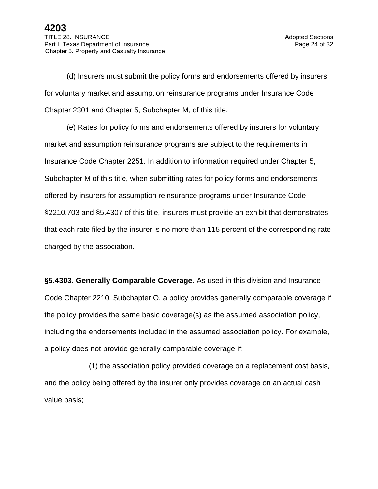(d) Insurers must submit the policy forms and endorsements offered by insurers for voluntary market and assumption reinsurance programs under Insurance Code Chapter 2301 and Chapter 5, Subchapter M, of this title.

(e) Rates for policy forms and endorsements offered by insurers for voluntary market and assumption reinsurance programs are subject to the requirements in Insurance Code Chapter 2251. In addition to information required under Chapter 5, Subchapter M of this title, when submitting rates for policy forms and endorsements offered by insurers for assumption reinsurance programs under Insurance Code §2210.703 and §5.4307 of this title, insurers must provide an exhibit that demonstrates that each rate filed by the insurer is no more than 115 percent of the corresponding rate charged by the association.

**§5.4303. Generally Comparable Coverage.** As used in this division and Insurance Code Chapter 2210, Subchapter O, a policy provides generally comparable coverage if the policy provides the same basic coverage(s) as the assumed association policy, including the endorsements included in the assumed association policy. For example, a policy does not provide generally comparable coverage if:

(1) the association policy provided coverage on a replacement cost basis, and the policy being offered by the insurer only provides coverage on an actual cash value basis;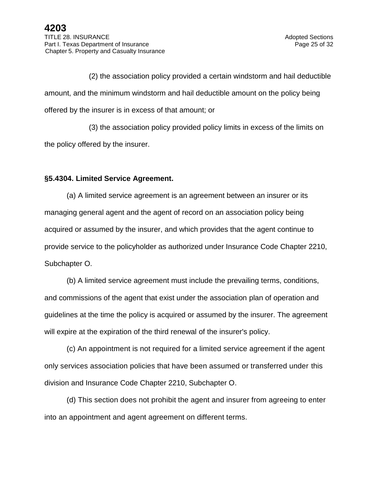(2) the association policy provided a certain windstorm and hail deductible amount, and the minimum windstorm and hail deductible amount on the policy being offered by the insurer is in excess of that amount; or

(3) the association policy provided policy limits in excess of the limits on the policy offered by the insurer.

### **§5.4304. Limited Service Agreement.**

(a) A limited service agreement is an agreement between an insurer or its managing general agent and the agent of record on an association policy being acquired or assumed by the insurer, and which provides that the agent continue to provide service to the policyholder as authorized under Insurance Code Chapter 2210, Subchapter O.

(b) A limited service agreement must include the prevailing terms, conditions, and commissions of the agent that exist under the association plan of operation and guidelines at the time the policy is acquired or assumed by the insurer. The agreement will expire at the expiration of the third renewal of the insurer's policy.

(c) An appointment is not required for a limited service agreement if the agent only services association policies that have been assumed or transferred under this division and Insurance Code Chapter 2210, Subchapter O.

(d) This section does not prohibit the agent and insurer from agreeing to enter into an appointment and agent agreement on different terms.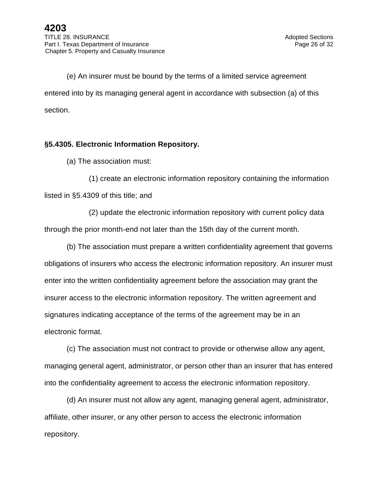(e) An insurer must be bound by the terms of a limited service agreement entered into by its managing general agent in accordance with subsection (a) of this section.

## **§5.4305. Electronic Information Repository.**

(a) The association must:

(1) create an electronic information repository containing the information listed in §5.4309 of this title; and

(2) update the electronic information repository with current policy data through the prior month-end not later than the 15th day of the current month.

(b) The association must prepare a written confidentiality agreement that governs obligations of insurers who access the electronic information repository. An insurer must enter into the written confidentiality agreement before the association may grant the insurer access to the electronic information repository. The written agreement and signatures indicating acceptance of the terms of the agreement may be in an electronic format.

(c) The association must not contract to provide or otherwise allow any agent, managing general agent, administrator, or person other than an insurer that has entered into the confidentiality agreement to access the electronic information repository.

(d) An insurer must not allow any agent, managing general agent, administrator, affiliate, other insurer, or any other person to access the electronic information repository.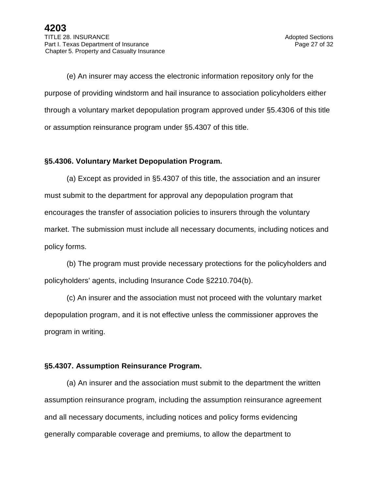(e) An insurer may access the electronic information repository only for the purpose of providing windstorm and hail insurance to association policyholders either through a voluntary market depopulation program approved under §5.4306 of this title or assumption reinsurance program under §5.4307 of this title.

## **§5.4306. Voluntary Market Depopulation Program.**

(a) Except as provided in §5.4307 of this title, the association and an insurer must submit to the department for approval any depopulation program that encourages the transfer of association policies to insurers through the voluntary market. The submission must include all necessary documents, including notices and policy forms.

(b) The program must provide necessary protections for the policyholders and policyholders' agents, including Insurance Code §2210.704(b).

(c) An insurer and the association must not proceed with the voluntary market depopulation program, and it is not effective unless the commissioner approves the program in writing.

# **§5.4307. Assumption Reinsurance Program.**

(a) An insurer and the association must submit to the department the written assumption reinsurance program, including the assumption reinsurance agreement and all necessary documents, including notices and policy forms evidencing generally comparable coverage and premiums, to allow the department to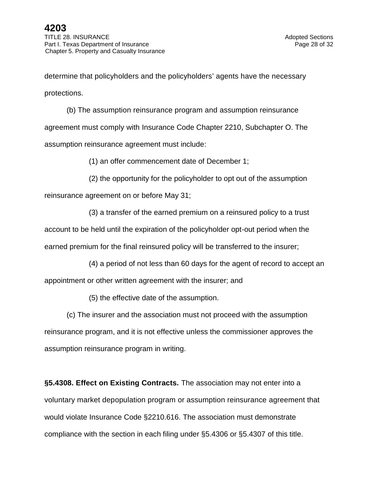determine that policyholders and the policyholders' agents have the necessary protections.

(b) The assumption reinsurance program and assumption reinsurance agreement must comply with Insurance Code Chapter 2210, Subchapter O. The assumption reinsurance agreement must include:

(1) an offer commencement date of December 1;

(2) the opportunity for the policyholder to opt out of the assumption

reinsurance agreement on or before May 31;

(3) a transfer of the earned premium on a reinsured policy to a trust

account to be held until the expiration of the policyholder opt-out period when the earned premium for the final reinsured policy will be transferred to the insurer;

(4) a period of not less than 60 days for the agent of record to accept an

appointment or other written agreement with the insurer; and

(5) the effective date of the assumption.

(c) The insurer and the association must not proceed with the assumption reinsurance program, and it is not effective unless the commissioner approves the assumption reinsurance program in writing.

**§5.4308. Effect on Existing Contracts.** The association may not enter into a voluntary market depopulation program or assumption reinsurance agreement that would violate Insurance Code §2210.616. The association must demonstrate compliance with the section in each filing under §5.4306 or §5.4307 of this title.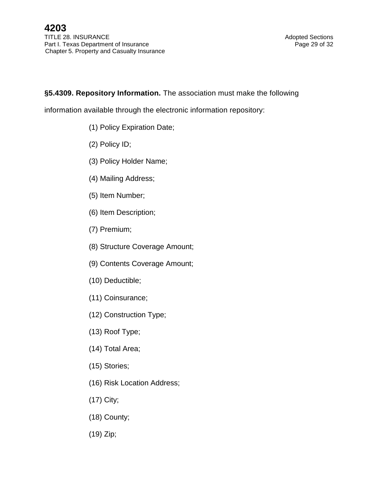# **§5.4309. Repository Information.** The association must make the following

information available through the electronic information repository:

- (1) Policy Expiration Date;
- (2) Policy ID;
- (3) Policy Holder Name;
- (4) Mailing Address;
- (5) Item Number;
- (6) Item Description;
- (7) Premium;
- (8) Structure Coverage Amount;
- (9) Contents Coverage Amount;
- (10) Deductible;
- (11) Coinsurance;
- (12) Construction Type;
- (13) Roof Type;
- (14) Total Area;
- (15) Stories;
- (16) Risk Location Address;
- (17) City;
- (18) County;
- (19) Zip;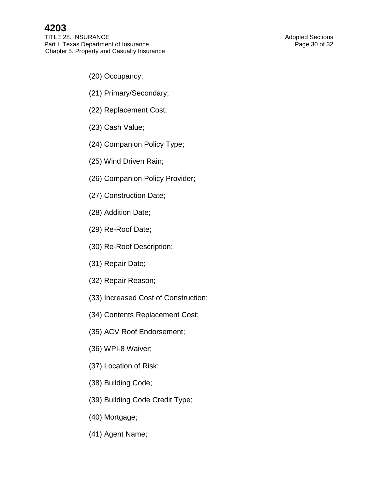# **4203**

TITLE 28. INSURANCE Adopted Sections Part I. Texas Department of Insurance **Page 30 of 32** Page 30 of 32 Chapter 5. Property and Casualty Insurance

- (20) Occupancy;
- (21) Primary/Secondary;
- (22) Replacement Cost;
- (23) Cash Value;
- (24) Companion Policy Type;
- (25) Wind Driven Rain;
- (26) Companion Policy Provider;
- (27) Construction Date;
- (28) Addition Date;
- (29) Re-Roof Date;
- (30) Re-Roof Description;
- (31) Repair Date;
- (32) Repair Reason;
- (33) Increased Cost of Construction;
- (34) Contents Replacement Cost;
- (35) ACV Roof Endorsement;
- (36) WPI-8 Waiver;
- (37) Location of Risk;
- (38) Building Code;
- (39) Building Code Credit Type;
- (40) Mortgage;
- (41) Agent Name;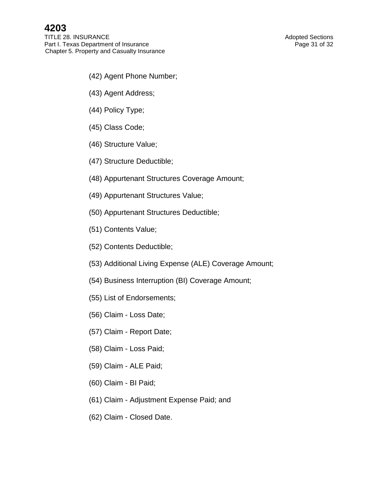TITLE 28. INSURANCE **Adopted Sections** Part I. Texas Department of Insurance **Page 31** of 32 Chapter 5. Property and Casualty Insurance

- (42) Agent Phone Number;
- (43) Agent Address;
- (44) Policy Type;
- (45) Class Code;
- (46) Structure Value;
- (47) Structure Deductible;
- (48) Appurtenant Structures Coverage Amount;
- (49) Appurtenant Structures Value;
- (50) Appurtenant Structures Deductible;
- (51) Contents Value;
- (52) Contents Deductible;
- (53) Additional Living Expense (ALE) Coverage Amount;
- (54) Business Interruption (BI) Coverage Amount;
- (55) List of Endorsements;
- (56) Claim Loss Date;
- (57) Claim Report Date;
- (58) Claim Loss Paid;
- (59) Claim ALE Paid;
- (60) Claim BI Paid;
- (61) Claim Adjustment Expense Paid; and
- (62) Claim Closed Date.